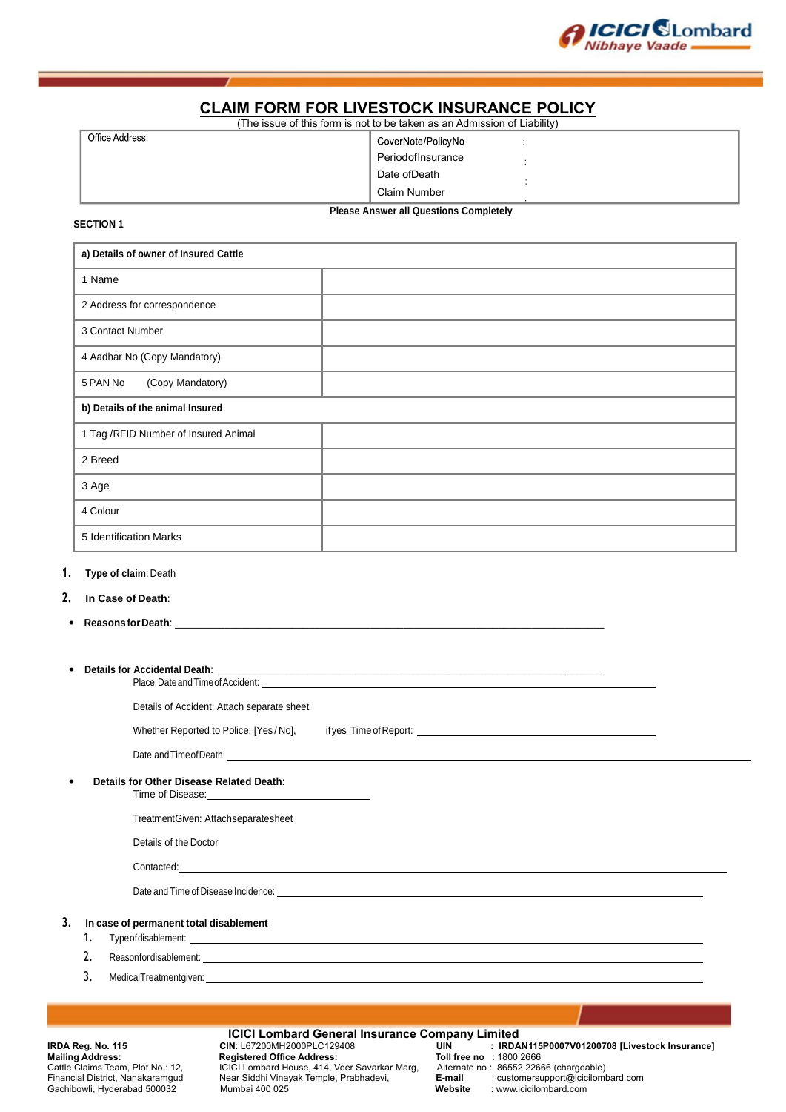

# **CLAIM FORM FOR LIVESTOCK INSURANCE POLICY**

| (The issue of this form is not to be taken as an Admission of Liability) |                    |  |  |  |
|--------------------------------------------------------------------------|--------------------|--|--|--|
| Office Address:                                                          | CoverNote/PolicyNo |  |  |  |
|                                                                          | PeriodofInsurance  |  |  |  |
|                                                                          | Date ofDeath       |  |  |  |
|                                                                          | Claim Number       |  |  |  |
| --<br>$\sim$ $\sim$ $\sim$<br>.                                          |                    |  |  |  |

**SECTION 1**

**Please Answer all Questions Completely**

| a) Details of owner of Insured Cattle |  |  |
|---------------------------------------|--|--|
| 1 Name                                |  |  |
| 2 Address for correspondence          |  |  |
| 3 Contact Number                      |  |  |
| 4 Aadhar No (Copy Mandatory)          |  |  |
| (Copy Mandatory)<br>5 PAN No          |  |  |
| b) Details of the animal Insured      |  |  |
| 1 Tag /RFID Number of Insured Animal  |  |  |
| 2 Breed                               |  |  |
| 3 Age                                 |  |  |
| 4 Colour                              |  |  |
| 5 Identification Marks                |  |  |

# **1. Type of claim**: Death

- **2. In Case of Death**:
- Reasons for Death:
- **Details for Accidental Death**: \_\_\_\_\_\_\_\_\_\_\_\_\_\_\_\_\_\_\_\_\_\_\_\_\_\_\_\_\_\_\_\_\_\_\_\_\_\_\_\_\_\_\_\_\_\_\_\_\_\_\_\_\_\_\_\_\_\_\_\_\_\_\_\_\_\_\_\_\_\_\_\_\_ Place,DateandTimeofAccident:

Details of Accident: Attach separate sheet

| Whether Reported to Police: [Yes/No], | if yes Time of Report: |
|---------------------------------------|------------------------|
|                                       |                        |

Date andTimeofDeath:

- **Details for Other Disease Related Death**:
	- Time of Disease:

TreatmentGiven: Attachseparatesheet

Details of the Doctor

Contacted:

Date and Time of Disease Incidence:

# **3. In case of permanent total disablement**

- 1. Typeofdisablement:
- 2. Reasonfordisablement:
- 3. MedicalTreatmentgiven:

**ICICI Lombard General Insurance Company Limited**<br>IRDA UIN: L67200MH2000PLC129408 **Mailing Address: Registered Office Address: Toll free no** : 1800 2666<br>Cattle Claims Team, Plot No.: 12, CICI Lombard House, 414, Veer Savarkar Marg, Alternate no : 86552 22666 (chargeable) Gachibowli, Hyderabad 500032 Mumbai 400 025 **Website** : www.icicilombard.com

**IRDA Reg. No. 115 CIN**: L67200MH2000PLC129408 **UIN : IRDAN115P0007V01200708 [Livestock Insurance]** Cattle Claims Team, Plot No.: 12, ICICI Lombard House, 414, Veer Savarkar Marg, Alternate no : 86552 22666 (chargeable)<br>Financial District, Nanakaramgud Near Siddhi Vinayak Temple, Prabhadevi, **E-mail** : cust